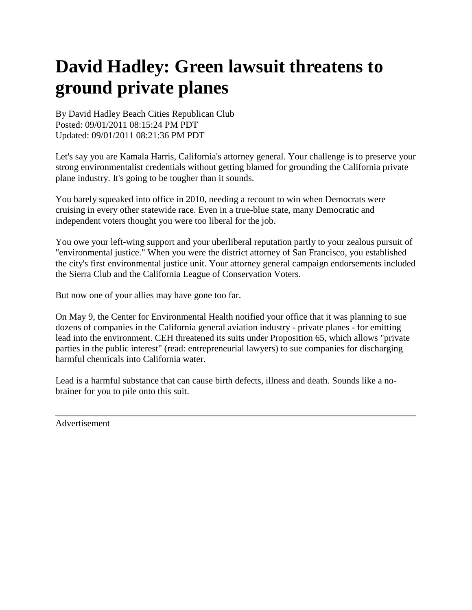## **David Hadley: Green lawsuit threatens to ground private planes**

By David Hadley Beach Cities Republican Club Posted: 09/01/2011 08:15:24 PM PDT Updated: 09/01/2011 08:21:36 PM PDT

Let's say you are Kamala Harris, California's attorney general. Your challenge is to preserve your strong environmentalist credentials without getting blamed for grounding the California private plane industry. It's going to be tougher than it sounds.

You barely squeaked into office in 2010, needing a recount to win when Democrats were cruising in every other statewide race. Even in a true-blue state, many Democratic and independent voters thought you were too liberal for the job.

You owe your left-wing support and your uberliberal reputation partly to your zealous pursuit of "environmental justice." When you were the district attorney of San Francisco, you established the city's first environmental justice unit. Your attorney general campaign endorsements included the Sierra Club and the California League of Conservation Voters.

But now one of your allies may have gone too far.

On May 9, the Center for Environmental Health notified your office that it was planning to sue dozens of companies in the California general aviation industry - private planes - for emitting lead into the environment. CEH threatened its suits under Proposition 65, which allows "private parties in the public interest" (read: entrepreneurial lawyers) to sue companies for discharging harmful chemicals into California water.

Lead is a harmful substance that can cause birth defects, illness and death. Sounds like a nobrainer for you to pile onto this suit.

Advertisement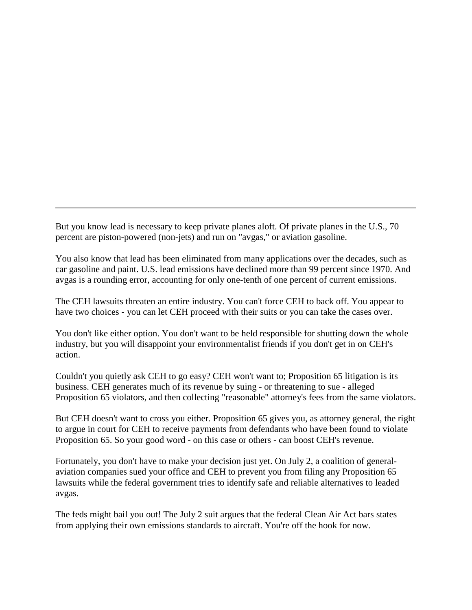But you know lead is necessary to keep private planes aloft. Of private planes in the U.S., 70 percent are piston-powered (non-jets) and run on "avgas," or aviation gasoline.

You also know that lead has been eliminated from many applications over the decades, such as car gasoline and paint. U.S. lead emissions have declined more than 99 percent since 1970. And avgas is a rounding error, accounting for only one-tenth of one percent of current emissions.

The CEH lawsuits threaten an entire industry. You can't force CEH to back off. You appear to have two choices - you can let CEH proceed with their suits or you can take the cases over.

You don't like either option. You don't want to be held responsible for shutting down the whole industry, but you will disappoint your environmentalist friends if you don't get in on CEH's action.

Couldn't you quietly ask CEH to go easy? CEH won't want to; Proposition 65 litigation is its business. CEH generates much of its revenue by suing - or threatening to sue - alleged Proposition 65 violators, and then collecting "reasonable" attorney's fees from the same violators.

But CEH doesn't want to cross you either. Proposition 65 gives you, as attorney general, the right to argue in court for CEH to receive payments from defendants who have been found to violate Proposition 65. So your good word - on this case or others - can boost CEH's revenue.

Fortunately, you don't have to make your decision just yet. On July 2, a coalition of generalaviation companies sued your office and CEH to prevent you from filing any Proposition 65 lawsuits while the federal government tries to identify safe and reliable alternatives to leaded avgas.

The feds might bail you out! The July 2 suit argues that the federal Clean Air Act bars states from applying their own emissions standards to aircraft. You're off the hook for now.